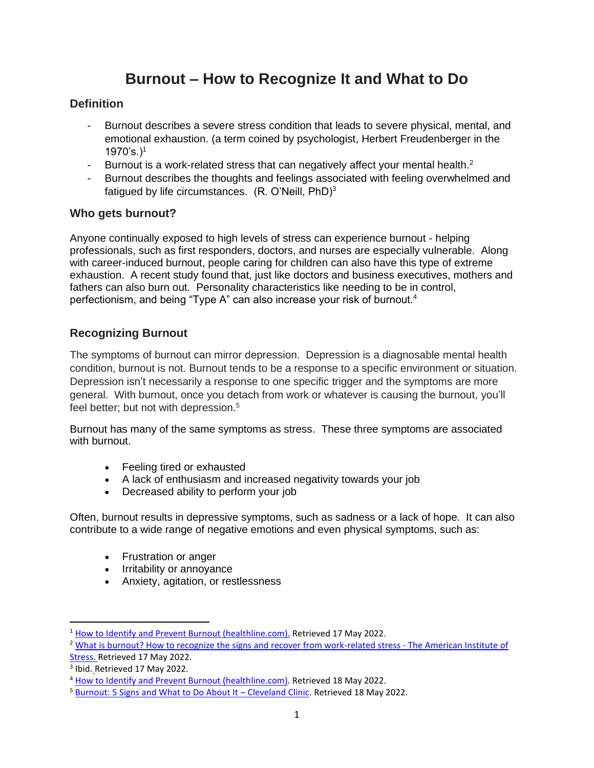# **Burnout – How to Recognize It and What to Do**

## **Definition**

- Burnout describes a severe stress condition that leads to severe physical, mental, and emotional exhaustion. (a term coined by psychologist, Herbert Freudenberger in the  $1970's.$ <sup>1</sup>
- Burnout is a work-related stress that can negatively affect your mental health. $2$
- Burnout describes the thoughts and feelings associated with feeling overwhelmed and fatigued by life circumstances. (R. O'Neill, PhD)<sup>3</sup>

#### **Who gets burnout?**

Anyone continually exposed to high levels of stress can experience burnout - helping professionals, such as first responders, [doctors,](https://www.healthline.com/health-news/long-hours-short-visits-red-tape-are-making-doctors-burn-out-120315) and nurses are especially vulnerable. Along with [career-induced burnout,](https://www.healthline.com/health/signs-you-are-headed-for-a-burnout-at-work) people [caring for children](https://www.healthline.com/health/tips-avoid-parental-burnout) can also have this type of extreme exhaustion. A recent [study](https://www.frontiersin.org/articles/10.3389/fpsyg.2017.00163/full) found that, just like doctors and business executives, mothers and fathers can also burn out. Personality characteristics like needing to be in control, perfectionism, and being "Type A" can also increase your risk of burnout.<sup>4</sup>

## **Recognizing Burnout**

The symptoms of burnout can mirror depression. Depression is a diagnosable mental health condition, burnout is not. Burnout tends to be a response to a specific environment or situation. Depression isn't necessarily a response to one specific trigger and the symptoms are more general. With burnout, once you detach from work or whatever is causing the burnout, you'll feel better; but not with depression.<sup>5</sup>

Burnout has many of the same symptoms as stress. These three symptoms are associated with burnout.

- Feeling tired or exhausted
- A lack of enthusiasm and increased negativity towards your job
- Decreased ability to perform your job

Often, burnout results in depressive symptoms, such as sadness or a lack of hope. It can also contribute to a wide range of negative emotions and even physical symptoms, such as:

- Frustration or anger
- Irritability or annoyance
- Anxiety, agitation, or restlessness

<sup>&</sup>lt;sup>1</sup> [How to Identify and Prevent Burnout \(healthline.com\).](https://www.healthline.com/health/tips-for-identifying-and-preventing-burnout#whats-burnout) Retrieved 17 May 2022.

<sup>&</sup>lt;sup>2</sup> [What is burnout? How to recognize the signs and recover from work-related stress -](https://www.stress.org/what-is-burnout-how-to-recognize-the-signs-and-recover-from-work-related-stress) The American Institute of

[Stress.](https://www.stress.org/what-is-burnout-how-to-recognize-the-signs-and-recover-from-work-related-stress) Retrieved 17 May 2022.

<sup>&</sup>lt;sup>3</sup> Ibid. Retrieved 17 May 2022.

<sup>4</sup> [How to Identify and Prevent Burnout \(healthline.com\).](https://www.healthline.com/health/tips-for-identifying-and-preventing-burnout#who-gets-it) Retrieved 18 May 2022.

<sup>5</sup> [Burnout: 5 Signs and What to Do About It](https://health.clevelandclinic.org/signs-of-burnout/) – Cleveland Clinic. Retrieved 18 May 2022.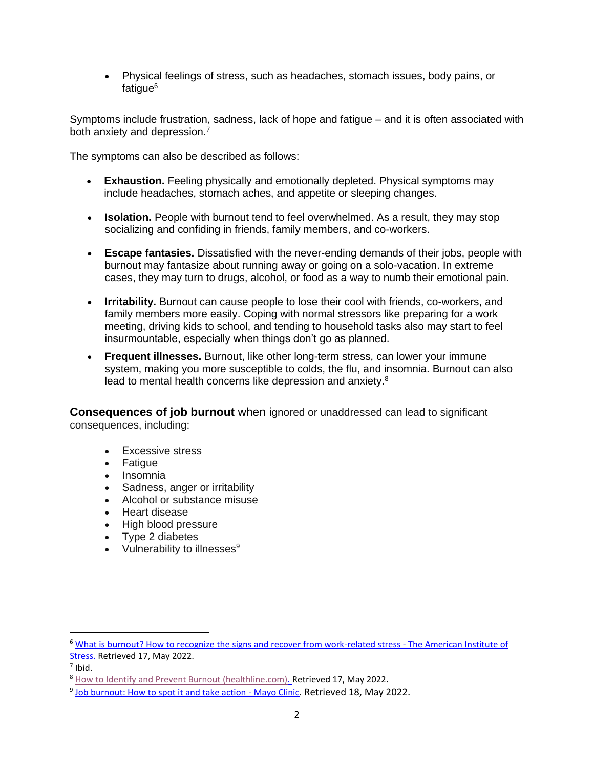• Physical feelings of stress, such as headaches, stomach issues, body pains, or fatique<sup>6</sup>

Symptoms include frustration, sadness, lack of hope and fatigue – and it is often associated with both anxiety and depression.<sup>7</sup>

The symptoms can also be described as follows:

- **Exhaustion.** Feeling physically and emotionally depleted. Physical symptoms may include headaches, stomach aches, and appetite or sleeping changes.
- **Isolation.** People with burnout tend to feel overwhelmed. As a result, they may stop socializing and confiding in friends, family members, and co-workers.
- **Escape fantasies.** Dissatisfied with the never-ending demands of their jobs, people with burnout may fantasize about running away or going on a solo-vacation. In extreme cases, they may turn to drugs, alcohol, or food as a way to numb their emotional pain.
- **Irritability.** Burnout can cause people to lose their cool with friends, co-workers, and family members more easily. Coping with normal stressors like preparing for a work meeting, driving kids to school, and tending to household tasks also may start to feel insurmountable, especially when things don't go as planned.
- **Frequent illnesses.** Burnout, like other long-term stress, can lower your immune system, making you more susceptible to colds, the flu, and insomnia. Burnout can also lead to mental health concerns like depression and anxiety.<sup>8</sup>

**Consequences of job burnout** when ignored or unaddressed can lead to significant consequences, including:

- Excessive stress
- Fatigue
- Insomnia
- Sadness, anger or irritability
- Alcohol or substance misuse
- Heart disease
- High blood pressure
- Type 2 diabetes
- Vulnerability to illnesses $9$

<sup>&</sup>lt;sup>6</sup> What is burnout? How to recognize the signs and recover from work-related stress - The American Institute of Stress. Retrieved 17, May 2022.

 $<sup>7</sup>$  Ibid.</sup>

<sup>&</sup>lt;sup>8</sup> How to Identify and Prevent Burnout (healthline.com). Retrieved 17, May 2022.

<sup>&</sup>lt;sup>9</sup> Job burnout: How to spot it and take action - Mayo Clinic. Retrieved 18, May 2022.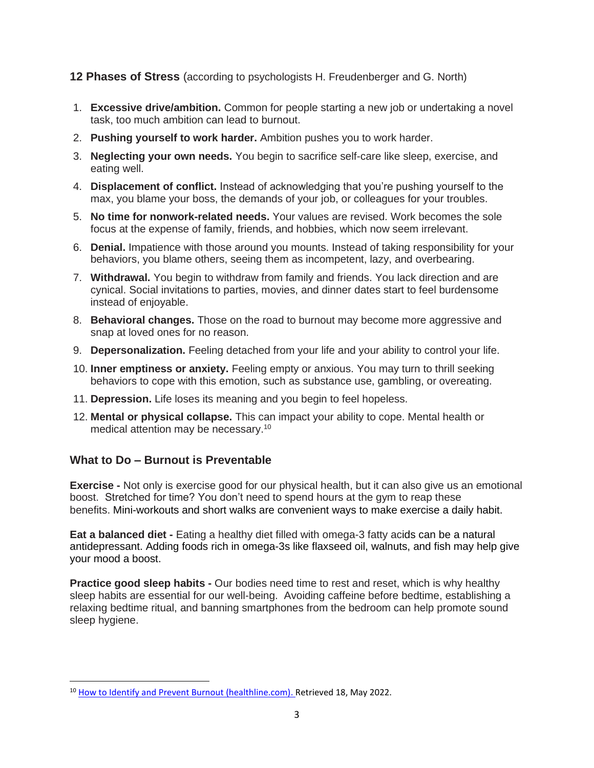#### **12 Phases of Stress** (according to psychologists H. Freudenberger and G. North)

- 1. **Excessive drive/ambition.** Common for people starting a new job or undertaking a novel task, too much ambition can lead to burnout.
- 2. **Pushing yourself to work harder.** Ambition pushes you to work harder.
- 3. **Neglecting your own needs.** You begin to sacrifice self-care like sleep, exercise, and eating well.
- 4. **Displacement of conflict.** Instead of acknowledging that you're pushing yourself to the max, you blame your boss, the demands of your job, or colleagues for your troubles.
- 5. **No time for nonwork-related needs.** Your values are revised. Work becomes the sole focus at the expense of family, friends, and hobbies, which now seem irrelevant.
- 6. **Denial.** Impatience with those around you mounts. Instead of taking responsibility for your behaviors, you blame others, seeing them as incompetent, lazy, and overbearing.
- 7. **Withdrawal.** You begin to withdraw from family and friends. You lack direction and are cynical. Social invitations to parties, movies, and dinner dates start to feel burdensome instead of enjoyable.
- 8. **Behavioral changes.** Those on the road to burnout may become more aggressive and snap at loved ones for no reason.
- 9. **Depersonalization.** Feeling detached from your life and your ability to control your life.
- 10. **Inner emptiness or anxiety.** Feeling empty or anxious. You may turn to thrill seeking behaviors to cope with this emotion, such as substance use, gambling, or overeating.
- 11. **Depression.** Life loses its meaning and you begin to feel hopeless.
- 12. **Mental or physical collapse.** This can impact your ability to cope. Mental health or medical attention may be necessary.<sup>10</sup>

# **What to Do – Burnout is Preventable**

**Exercise -** Not only is exercise good for our physical health, but it can also give us an emotional boost. Stretched for time? You don't need to spend hours at the gym to reap these benefits. Mini-workouts and short walks are convenient ways to make exercise a daily habit.

**Eat a balanced diet -** Eating a healthy diet filled with omega-3 fatty acids can be a natural antidepressant. Adding foods rich in omega-3s like flaxseed oil, walnuts, and fish may help give your mood a boost.

**Practice good sleep habits -** Our bodies need time to rest and reset, which is why healthy sleep habits are essential for our well-being. Avoiding caffeine before bedtime, establishing a relaxing bedtime ritual, and banning smartphones from the bedroom can help promote sound sleep hygiene.

<sup>&</sup>lt;sup>10</sup> How to Identify and Prevent Burnout (healthline.com). Retrieved 18, May 2022.